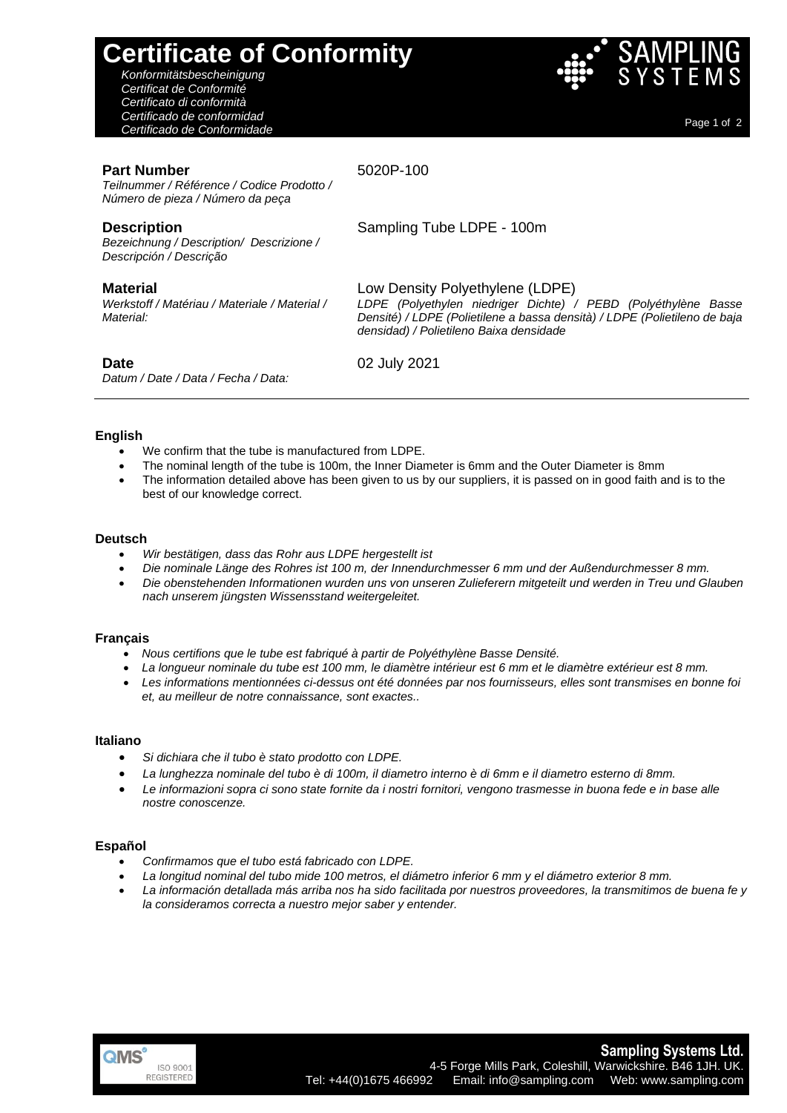# **Certificate of Conformity**

*Konformitätsbescheinigung Certificat de Conformité Certificato di conformità Certificado de conformidad Certificado de Conformidade* Page 1 of <sup>2</sup>



# **Part Number**

5020P-100

Sampling Tube LDPE - 100m

Low Density Polyethylene (LDPE)

*densidad) / Polietileno Baixa densidade*

*LDPE (Polyethylen niedriger Dichte) / PEBD (Polyéthylène Basse Densité) / LDPE (Polietilene a bassa densità) / LDPE (Polietileno de baja* 

*Teilnummer / Référence / Codice Prodotto / Número de pieza / Número da peça*

# **Description**

*Bezeichnung / Description/ Descrizione / Descripción / Descrição*

# **Material**

*Werkstoff / Matériau / Materiale / Material / Material:*

## **Date**

*Datum / Date / Data / Fecha / Data:*

02 July 2021

# **English**

- We confirm that the tube is manufactured from LDPE.
- The nominal length of the tube is 100m, the Inner Diameter is 6mm and the Outer Diameter is 8mm
- The information detailed above has been given to us by our suppliers, it is passed on in good faith and is to the best of our knowledge correct.

#### **Deutsch**

- *Wir bestätigen, dass das Rohr aus LDPE hergestellt ist*
- *Die nominale Länge des Rohres ist 100 m, der Innendurchmesser 6 mm und der Außendurchmesser 8 mm.*
- *Die obenstehenden Informationen wurden uns von unseren Zulieferern mitgeteilt und werden in Treu und Glauben nach unserem jüngsten Wissensstand weitergeleitet.*

## **Français**

- *Nous certifions que le tube est fabriqué à partir de Polyéthylène Basse Densité.*
- *La longueur nominale du tube est 100 mm, le diamètre intérieur est 6 mm et le diamètre extérieur est 8 mm.*
- *Les informations mentionnées ci-dessus ont été données par nos fournisseurs, elles sont transmises en bonne foi et, au meilleur de notre connaissance, sont exactes..*

## **Italiano**

- *Si dichiara che il tubo è stato prodotto con LDPE.*
- *La lunghezza nominale del tubo è di 100m, il diametro interno è di 6mm e il diametro esterno di 8mm.*
- *Le informazioni sopra ci sono state fornite da i nostri fornitori, vengono trasmesse in buona fede e in base alle nostre conoscenze.*

## **Español**

- *Confirmamos que el tubo está fabricado con LDPE.*
- *La longitud nominal del tubo mide 100 metros, el diámetro inferior 6 mm y el diámetro exterior 8 mm.*
- *La información detallada más arriba nos ha sido facilitada por nuestros proveedores, la transmitimos de buena fe y la consideramos correcta a nuestro mejor saber y entender.*